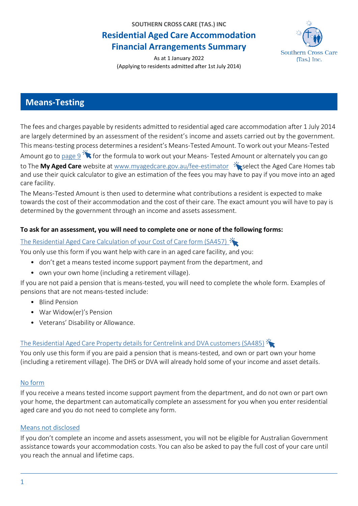**SOUTHERN CROSS CARE (TAS.) INC**

# **Residential Aged Care Accommodation Financial Arrangements Summary**



As at 1 January 2022 (Applying to residents admitted after 1st July 2014)

# **Means-Testing**

The fees and charges payable by residents admitted to residential aged care accommodation after 1 July 2014 are largely determined by an assessment of the resident's income and assets carried out by the government. This means-testing process determines a resident's Means-Tested Amount. To work out your Means-Tested Amount go to [page](#page-8-0) 9  $\frac{3}{2}$  for the formula to work out your Means- Tested Amount or alternately you can go to The My Aged Care website at [www.myagedcare.gov.au/fee-estimator](https://www.myagedcare.gov.au/fee-estimator?fe_type_of_care=age_home_care)  $\frac{1}{2}$  select the Aged Care Homes tab and use their quick calculator to give an estimation of the fees you may have to pay if you move into an aged care facility.

The Means-Tested Amount is then used to determine what contributions a resident is expected to make towards the cost of their accommodation and the cost of their care. The exact amount you will have to pay is determined by the government through an income and assets assessment.

### **To ask for an assessment, you will need to complete one or none of the following forms:**

### The Residential Aged Care [Calculation](https://www.servicesaustralia.gov.au/individuals/forms/sa457) of your Cost of Care form (SA457)

You only use this form if you want help with care in an aged care facility, and you:

- don't get a means tested income support payment from the department, and
- own your own home (including a retirement village).

If you are not paid a pension that is means-tested, you will need to complete the whole form. Examples of pensions that are not means-tested include:

- Blind Pension
- War Widow(er)'s Pension
- Veterans' Disability or Allowance.

### The [Residential](https://www.servicesaustralia.gov.au/individuals/forms/sa485) Aged Care Property details for Centrelink and DVA customers (SA485)

You only use this form if you are paid a pension that is means-tested, and own or part own your home (including a retirement village). The DHS or DVA will already hold some of your income and asset details.

#### No form

If you receive a means tested income support payment from the department, and do not own or part own your home, the department can automatically complete an assessment for you when you enter residential aged care and you do not need to complete any form.

### Means not disclosed

If you don't complete an income and assets assessment, you will not be eligible for Australian Government assistance towards your accommodation costs. You can also be asked to pay the full cost of your care until you reach the annual and lifetime caps.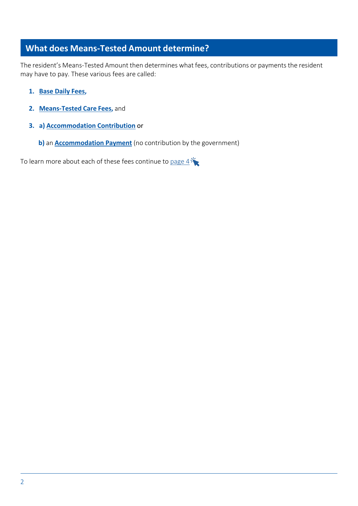# **What does Means-Tested Amount determine?**

The resident's Means-Tested Amount then determines what fees, contributions or payments the resident may have to pay. These various fees are called:

- **1. Base Daily Fees,**
- **2. Means-Tested Care Fees,** and
- **3. a) Accommodation Contribution** or
	- **b)** an **Accommodation Payment** (no contribution by the government)

To learn more about each of these fees continue to pa[ge](#page-3-0)  $4\sqrt[3]{\bullet}$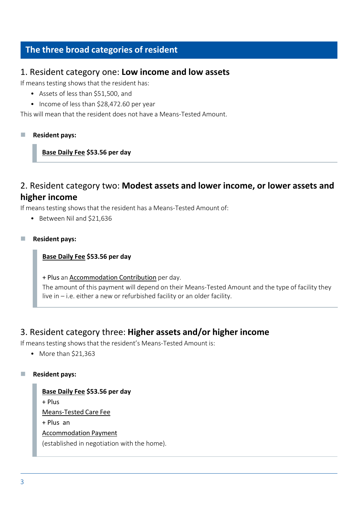# **The three broad categories of resident**

### 1. Resident category one: **Low income and low assets**

If means testing shows that the resident has:

- Assets of less than \$51,500, and
- Income of less than \$28,472.60 per year

This will mean that the resident does not have a Means-Tested Amount.

#### ◼ **Resident pays:**

#### **Base Daily Fee \$53.56 per day**

### 2. Resident category two: **Modest assets and lower income, or lower assets and higher income**

If means testing shows that the resident has a Means-Tested Amount of:

- Between Nil and \$21,636
- ◼ **Resident pays:**

#### **Base Daily Fee \$53.56 per day**

+ Plus an Accommodation Contribution per day.

The amount of this payment will depend on their Means-Tested Amount and the type of facility they live in – i.e. either a new or refurbished facility or an older facility.

### 3. Resident category three: **Higher assets and/or higher income**

If means testing shows that the resident's Means-Tested Amount is:

• More than \$21,363

#### ◼ **Resident pays:**

```
Base Daily Fee $53.56 per day
+ Plus
Means-Tested Care Fee
+ Plus an
Accommodation Payment
(established in negotiation with the home).
```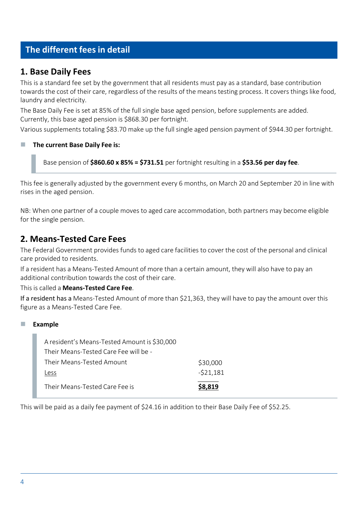# <span id="page-3-0"></span>**The different fees in detail**

### **1. Base Daily Fees**

This is a standard fee set by the government that all residents must pay as a standard, base contribution towards the cost of their care, regardless of the results of the means testing process. It covers things like food, laundry and electricity.

The Base Daily Fee is set at 85% of the full single base aged pension, before supplements are added. Currently, this base aged pension is \$868.30 per fortnight.

Various supplements totaling \$83.70 make up the full single aged pension payment of \$944.30 per fortnight.

### ◼ **The current Base Daily Fee is:**

Base pension of **\$860.60 x 85% = \$731.51** per fortnight resulting in a **\$53.56 per day fee**.

This fee is generally adjusted by the government every 6 months, on March 20 and September 20 in line with rises in the aged pension.

NB: When one partner of a couple moves to aged care accommodation, both partners may become eligible for the single pension.

### **2. Means-Tested Care Fees**

The Federal Government provides funds to aged care facilities to cover the cost of the personal and clinical care provided to residents.

If a resident has a Means-Tested Amount of more than a certain amount, they will also have to pay an additional contribution towards the cost of their care.

This is called a **Means-Tested Care Fee**.

If a resident has a Means-Tested Amount of more than \$21,363, they will have to pay the amount over this figure as a Means-Tested Care Fee.

#### ■ **Example**

| Their Means-Tested Care Fee is               | \$8.819    |
|----------------------------------------------|------------|
| Less                                         | $-521,181$ |
| Their Means-Tested Amount                    | \$30,000   |
| Their Means-Tested Care Fee will be -        |            |
| A resident's Means-Tested Amount is \$30,000 |            |

This will be paid as a daily fee payment of \$24.16 in addition to their Base Daily Fee of \$52.25.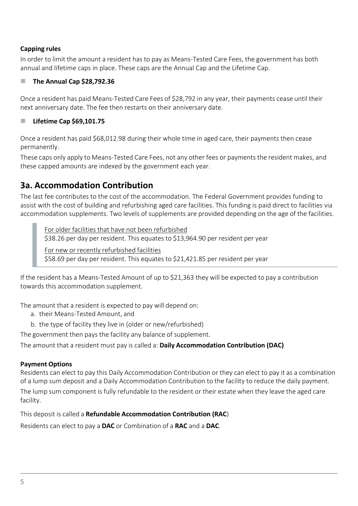### **Capping rules**

In order to limit the amount a resident has to pay as Means-Tested Care Fees, the government has both annual and lifetime caps in place. These caps are the Annual Cap and the Lifetime Cap.

### ◼ **The Annual Cap \$28,792.36**

Once a resident has paid Means-Tested Care Fees of \$28,792 in any year, their payments cease until their next anniversary date. The fee then restarts on their anniversary date.

### ◼ **Lifetime Cap \$69,101.75**

Once a resident has paid \$68,012.98 during their whole time in aged care, their payments then cease permanently.

These caps only apply to Means-Tested Care Fees, not any other fees or payments the resident makes, and these capped amounts are indexed by the government each year.

# **3a. Accommodation Contribution**

The last fee contributes to the cost of the accommodation. The Federal Government provides funding to assist with the cost of building and refurbishing aged care facilities. This funding is paid direct to facilities via accommodation supplements. Two levels of supplements are provided depending on the age of the facilities.

For older facilities that have not been refurbished \$38.26 per day per resident. This equates to \$13,964.90 per resident per year For new or recently refurbished facilities \$58.69 per day per resident. This equates to \$21,421.85 per resident per year

If the resident has a Means-Tested Amount of up to \$21,363 they will be expected to pay a contribution towards this accommodation supplement.

The amount that a resident is expected to pay will depend on:

a. their Means-Tested Amount, and

b. the type of facility they live in (older or new/refurbished)

The government then pays the facility any balance of supplement.

The amount that a resident must pay is called a: **Daily Accommodation Contribution (DAC)**

#### **Payment Options**

Residents can elect to pay this Daily Accommodation Contribution or they can elect to pay it as a combination of a lump sum deposit and a Daily Accommodation Contribution to the facility to reduce the daily payment. The lump sum component is fully refundable to the resident or their estate when they leave the aged care facility.

This deposit is called a **Refundable Accommodation Contribution (RAC**)

Residents can elect to pay a **DAC** or Combination of a **RAC** and a **DAC**.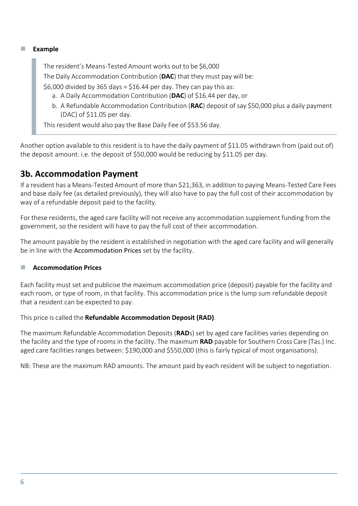#### ■ **Example**

The resident's Means-Tested Amount works out to be \$6,000 The Daily Accommodation Contribution (**DAC**) that they must pay will be: \$6,000 divided by 365 days = \$16.44 per day. They can pay this as: a. A Daily Accommodation Contribution (**DAC**) of \$16.44 per day, or

b. A Refundable Accommodation Contribution (**RAC**) deposit of say \$50,000 plus a daily payment (DAC) of \$11.05 per day.

This resident would also pay the Base Daily Fee of \$53.56 day.

Another option available to this resident is to have the daily payment of \$11.05 withdrawn from (paid out of) the deposit amount. i.e. the deposit of \$50,000 would be reducing by \$11.05 per day.

### **3b. Accommodation Payment**

If a resident has a Means-Tested Amount of more than \$21,363, in addition to paying Means-Tested Care Fees and base daily fee (as detailed previously), they will also have to pay the full cost of their accommodation by way of a refundable deposit paid to the facility.

For these residents, the aged care facility will not receive any accommodation supplement funding from the government, so the resident will have to pay the full cost of their accommodation.

The amount payable by the resident is established in negotiation with the aged care facility and will generally be in line with the Accommodation Prices set by the facility.

#### ■ **Accommodation Prices**

Each facility must set and publicise the maximum accommodation price (deposit) payable for the facility and each room, or type of room, in that facility. This accommodation price is the lump sum refundable deposit that a resident can be expected to pay.

This price is called the **Refundable Accommodation Deposit (RAD)**.

The maximum Refundable Accommodation Deposits (**RAD**s) set by aged care facilities varies depending on the facility and the type of rooms in the facility. The maximum **RAD** payable for Southern Cross Care (Tas.) Inc. aged care facilities ranges between: \$190,000 and \$550,000 (this is fairly typical of most organisations).

NB: These are the maximum RAD amounts. The amount paid by each resident will be subject to negotiation.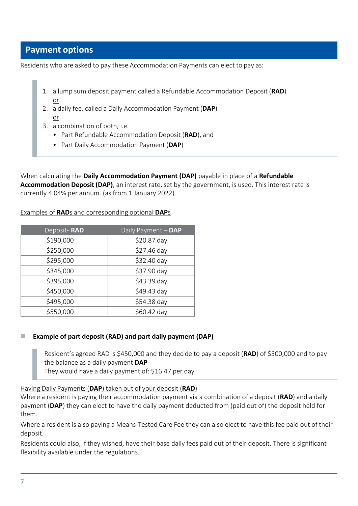### **Payment options**

Residents who are asked to pay these Accommodation Payments can elect to pay as:

- 1. a lump sum deposit payment called a Refundable Accommodation Deposit (**RAD**) or
- 2. a daily fee, called a Daily Accommodation Payment (**DAP**) or
- 3. a combination of both, i.e.
	- Part Refundable Accommodation Deposit (**RAD**), and
	- Part Daily Accommodation Payment (**DAP**)

When calculating the **Daily Accommodation Payment (DAP)** payable in place of a **Refundable Accommodation Deposit (DAP)**, an interest rate, set by the government, is used. This interest rate is currently 4.04% per annum. (as from 1 January 2022).

| Deposit-RAD | Daily Payment - DAP |
|-------------|---------------------|
| \$190,000   | \$20.87 day         |
| \$250,000   | \$27.46 day         |
| \$295,000   | \$32.40 day         |
| \$345,000   | \$37.90 day         |
| \$395,000   | \$43.39 day         |
| \$450,000   | \$49.43 day         |
| \$495,000   | \$54.38 day         |
| \$550,000   | \$60.42 day         |

Examples of **RAD**s and corresponding optional **DAP**s

#### ◼ **Example of part deposit (RAD) and part daily payment (DAP)**

Resident's agreed RAD is \$450,000 and they decide to pay a deposit (**RAD**) of \$300,000 and to pay the balance as a daily payment **DAP** They would have a daily payment of: \$16.47 per day

Having Daily Payments (**DAP**) taken out of your deposit (**RAD**)

Where a resident is paying their accommodation payment via a combination of a deposit (**RAD**) and a daily payment (**DAP**) they can elect to have the daily payment deducted from (paid out of) the deposit held for them.

Where a resident is also paying a Means-Tested Care Fee they can also elect to have this fee paid out of their deposit.

Residents could also, if they wished, have their base daily fees paid out of their deposit. There is significant flexibility available under the regulations.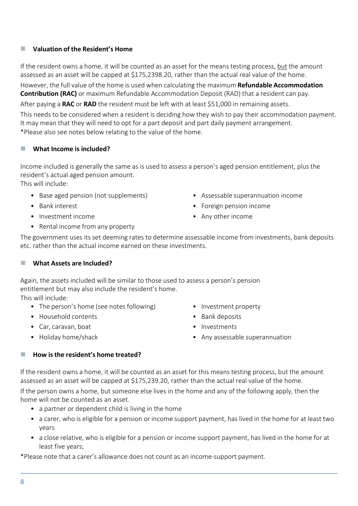### ◼ **Valuation of the Resident's Home**

If the resident owns a home, it will be counted as an asset for the means testing process, but the amount assessed as an asset will be capped at \$175,2398.20, rather than the actual real value of the home.

However, the full value of the home is used when calculating the maximum **Refundable Accommodation Contribution (RAC)** or maximum Refundable Accommodation Deposit (RAD) that a resident can pay.

After paying a **RAC** or **RAD** the resident must be left with at least \$51,000 in remaining assets.

This needs to be considered when a resident is deciding how they wish to pay their accommodation payment. It may mean that they will need to opt for a part deposit and part daily payment arrangement. \*Please also see notes below relating to the value of the home.

### ◼ **What Income is included?**

Income included is generally the same as is used to assess a person's aged pension entitlement, plus the resident's actual aged pension amount.

This will include:

- Base aged pension (not supplements)
- Bank interest
- Investment income
- Assessable superannuation income
- Foreign pension income
- Any other income

• Rental income from any property

The government uses its set deeming rates to determine assessable income from investments, bank deposits etc. rather than the actual income earned on these investments.

#### ◼ **What Assets are Included?**

Again, the assets included will be similar to those used to assess a person's pension entitlement but may also include the resident's home.

This will include:

- The person's home (see notes following)
- Household contents
- Car, caravan, boat
- Holiday home/shack
- Investment property
- Bank deposits
- Investments
- Any assessable superannuation

#### ◼ **How is the resident's home treated?**

If the resident owns a home, it will be counted as an asset for this means testing process, but the amount assessed as an asset will be capped at \$175,239.20, rather than the actual real value of the home.

If the person owns a home, but someone else lives in the home and any of the following apply, then the home will not be counted as an asset.

- a partner or dependent child is living in the home
- a carer, who is eligible for a pension or income support payment, has lived in the home for at least two years
- a close relative, who is eligible for a pension or income support payment, has lived in the home for at least five years;

\*Please note that a carer's allowance does not count as an income-support payment.